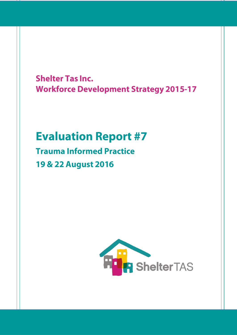**Shelter Tas Inc. Workforce Development Strategy 2015-17** 

# **Evaluation Report #7**

**Trauma Informed Practice** 19 & 22 August 2016

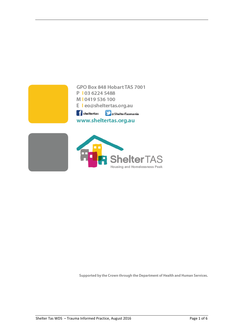

Supported by the Crown through the Department of Health and Human Services.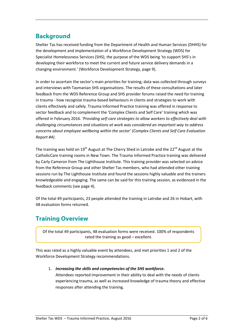## **Background**

Shelter Tas has received funding from the Department of Health and Human Services (DHHS) for the development and implementation of a Workforce Development Strategy (WDS) for Specialist Homelessness Services (SHS), the purpose of the WDS being 'to support SHS's in developing their workforce to meet the current and future service delivery demands in a changing environment.' (Workforce Development Strategy, page 9).

In order to ascertain the sector's main priorities for training, data was collected through surveys and interviews with Tasmanian SHS organisations. The results of these consultations and later feedback from the WDS Reference Group and SHS provider forums raised the need for training in trauma - how recognise trauma-based behaviours in clients and strategies to work with clients effectively and safely. Trauma Informed Practice training was offered in response to sector feedback and to complement the 'Complex Clients and Self Care' training which was offered in February 2016. *'Providing self-care strategies to allow workers to effectively deal with challenging circumstances and situations at work was considered an important way to address concerns about employee wellbeing within the sector' (Complex Clients and Self Care Evaluation Report #4)*.

The training was held on 19<sup>th</sup> August at The Cherry Shed in Latrobe and the 22<sup>nd</sup> August at the CatholicCare training rooms in New Town. The Trauma Informed Practice training was delivered by Carly Cameron from The Lighthouse Institute. This training provider was selected on advice from the Reference Group and other Shelter Tas members, who had attended other training sessions run by The Lighthouse Institute and found the sessions highly valuable and the trainers knowledgeable and engaging. The same can be said for this training session, as evidenced in the feedback comments (see page 4).

Of the total 49 participants, 23 people attended the training in Latrobe and 26 in Hobart, with 48 evaluation forms returned.

## **Training Overview**

Of the total 49 participants, 48 evaluation forms were received. 100% of respondents rated the training as good – excellent.

This was rated as a highly valuable event by attendees, and met priorities 1 and 2 of the Workforce Development Strategy recommendations.

1. *Increasing the skills and competencies of the SHS workforce.*

Attendees reported improvement in their ability to deal with the needs of clients experiencing trauma, as well as increased knowledge of trauma theory and effective responses after attending the training.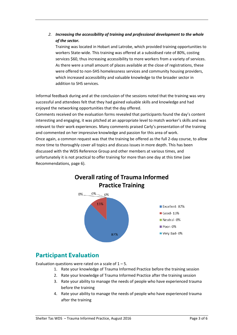#### *2. Increasing the accessibility of training and professional development to the whole of the sector.*

Training was located in Hobart and Latrobe, which provided training opportunities to workers State-wide. This training was offered at a subsidised rate of 80%, costing services \$60, thus increasing accessibility to more workers from a variety of services. As there were a small amount of places available at the close of registrations, these were offered to non-SHS homelessness services and community housing providers, which increased accessibility and valuable knowledge to the broader sector in addition to SHS services.

Informal feedback during and at the conclusion of the sessions noted that the training was very successful and attendees felt that they had gained valuable skills and knowledge and had enjoyed the networking opportunities that the day offered.

Comments received on the evaluation forms revealed that participants found the day's content interesting and engaging, it was pitched at an appropriate level to match worker's skills and was relevant to their work experiences. Many comments praised Carly's presentation of the training and commented on her impressive knowledge and passion for this area of work. Once again, a common request was that the training be offered as the full 2-day course, to allow more time to thoroughly cover all topics and discuss issues in more depth. This has been discussed with the WDS Reference Group and other members at various times, and unfortunately it is not practical to offer training for more than one day at this time (see Recommendations, page 6).



## **Participant Evaluation**

Evaluation questions were rated on a scale of  $1 - 5$ .

- 1. Rate your knowledge of Trauma Informed Practice before the training session
- 2. Rate your knowledge of Trauma Informed Practice after the training session
- 3. Rate your ability to manage the needs of people who have experienced trauma before the training
- 4. Rate your ability to manage the needs of people who have experienced trauma after the training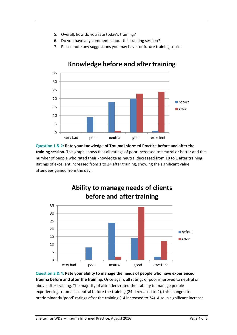- 5. Overall, how do you rate today's training?
- 6. Do you have any comments about this training session?
- 7. Please note any suggestions you may have for future training topics.



#### Knowledge before and after training

**Question 1 & 2: Rate your knowledge of Trauma Informed Practice before and after the training session.** This graph shows that all ratings of poor increased to neutral or better and the number of people who rated their knowledge as neutral decreased from 18 to 1 after training. Ratings of excellent increased from 1 to 24 after training, showing the significant value attendees gained from the day.



**Question 3 & 4: Rate your ability to manage the needs of people who have experienced trauma before and after the training.** Once again, all ratings of poor improved to neutral or above after training. The majority of attendees rated their ability to manage people experiencing trauma as neutral before the training (24 decreased to 2), this changed to predominantly 'good' ratings after the training (14 increased to 34). Also, a significant increase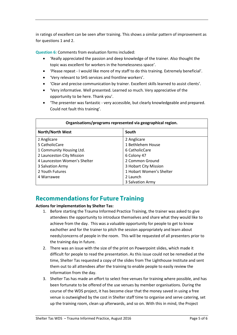in ratings of excellent can be seen after training. This shows a similar pattern of improvement as for questions 1 and 2.

**Question 6:** Comments from evaluation forms included:

- 'Really appreciated the passion and deep knowledge of the trainer. Also thought the topic was excellent for workers in the homelessness space'.
- 'Please repeat I would like more of my staff to do this training. Extremely beneficial'.
- 'Very relevant to SHS services and frontline workers'.
- 'Clear and precise communication by trainer. Excellent skills learned to assist clients'.
- 'Very informative. Well presented. Learned so much. Very appreciative of the opportunity to be here. Thank you'.
- 'The presenter was fantastic very accessible, but clearly knowledgeable and prepared. Could not fault this training'.

| Organisations/programs represented via geographical region. |                          |
|-------------------------------------------------------------|--------------------------|
| <b>North/North West</b>                                     | South                    |
| 2 Anglicare                                                 | 2 Anglicare              |
| 5 CatholicCare                                              | 1 Bethlehem House        |
| 1 Community Housing Ltd.                                    | 6 CatholicCare           |
| 2 Launceston City Mission                                   | 6 Colony 47              |
| 4 Launceston Women's Shelter                                | 2 Common Ground          |
| 3 Salvation Army                                            | 3 Hobart City Mission    |
| 2 Youth Futures                                             | 1 Hobart Women's Shelter |
| 4 Warrawee                                                  | 2 Launch                 |
|                                                             | 3 Salvation Army         |

#### **Recommendations for Future Training**

#### **Actions for implementation by Shelter Tas:**

- 1. Before starting the Trauma Informed Practice Training, the trainer was asked to give attendees the opportunity to introduce themselves and share what they would like to achieve from the day. This was a valuable opportunity for people to get to know eachother and for the trainer to pitch the session appropriately and learn about needs/concerns of people in the room. This will be requested of all presenters prior to the training day in future.
- 2. There was an issue with the size of the print on Powerpoint slides, which made it difficult for people to read the presentation. As this issue could not be remedied at the time, Shelter Tas requested a copy of the slides from The Lighthouse Institute and sent them out to all attendees after the training to enable people to easily review the information from the day.
- 3. Shelter Tas has made an effort to select free venues for training where possible, and has been fortunate to be offered of the use venues by member organisations. During the course of the WDS project, it has become clear that the money saved in using a free venue is outweighed by the cost in Shelter staff time to organise and serve catering, set up the training room, clean up afterwards, and so on. With this in mind, the Project